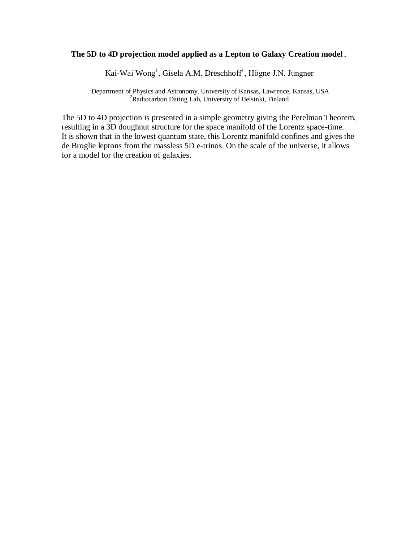# **The 5D to 4D projection model applied as a Lepton to Galaxy Creation model.**

Kai-Wai Wong<sup>1</sup>, Gisela A.M. Dreschhoff<sup>1</sup>, Högne J.N. Jungner

<sup>1</sup>Department of Physics and Astronomy, University of Kansas, Lawrence, Kansas, USA <sup>2</sup>Radiocarbon Dating Lab, University of Helsinki, Finland

The 5D to 4D projection is presented in a simple geometry giving the Perelman Theorem, resulting in a 3D doughnut structure for the space manifold of the Lorentz space-time. It is shown that in the lowest quantum state, this Lorentz manifold confines and gives the de Broglie leptons from the massless 5D e-trinos. On the scale of the universe, it allows for a model for the creation of galaxies.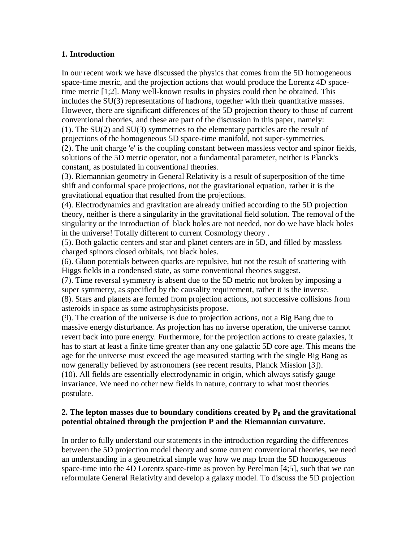# **1. Introduction**

In our recent work we have discussed the physics that comes from the 5D homogeneous space-time metric, and the projection actions that would produce the Lorentz 4D spacetime metric [1;2]. Many well-known results in physics could then be obtained. This includes the SU(3) representations of hadrons, together with their quantitative masses. However, there are significant differences of the 5D projection theory to those of current conventional theories, and these are part of the discussion in this paper, namely: (1). The SU(2) and SU(3) symmetries to the elementary particles are the result of projections of the homogeneous 5D space-time manifold, not super-symmetries. (2). The unit charge 'e' is the coupling constant between massless vector and spinor fields, solutions of the 5D metric operator, not a fundamental parameter, neither is Planck's constant, as postulated in conventional theories.

(3). Riemannian geometry in General Relativity is a result of superposition of the time shift and conformal space projections, not the gravitational equation, rather it is the gravitational equation that resulted from the projections.

(4). Electrodynamics and gravitation are already unified according to the 5D projection theory, neither is there a singularity in the gravitational field solution. The removal of the singularity or the introduction of black holes are not needed, nor do we have black holes in the universe! Totally different to current Cosmology theory .

(5). Both galactic centers and star and planet centers are in 5D, and filled by massless charged spinors closed orbitals, not black holes.

(6). Gluon potentials between quarks are repulsive, but not the result of scattering with Higgs fields in a condensed state, as some conventional theories suggest.

(7). Time reversal symmetry is absent due to the 5D metric not broken by imposing a super symmetry, as specified by the causality requirement, rather it is the inverse.

(8). Stars and planets are formed from projection actions, not successive collisions from asteroids in space as some astrophysicists propose.

(9). The creation of the universe is due to projection actions, not a Big Bang due to massive energy disturbance. As projection has no inverse operation, the universe cannot revert back into pure energy. Furthermore, for the projection actions to create galaxies, it has to start at least a finite time greater than any one galactic 5D core age. This means the age for the universe must exceed the age measured starting with the single Big Bang as now generally believed by astronomers (see recent results, Planck Mission [3]). (10). All fields are essentially electrodynamic in origin, which always satisfy gauge invariance. We need no other new fields in nature, contrary to what most theories postulate.

# **2. The lepton masses due to boundary conditions created by P<sup>0</sup> and the gravitational potential obtained through the projection P and the Riemannian curvature.**

In order to fully understand our statements in the introduction regarding the differences between the 5D projection model theory and some current conventional theories, we need an understanding in a geometrical simple way how we map from the 5D homogeneous space-time into the 4D Lorentz space-time as proven by Perelman [4;5], such that we can reformulate General Relativity and develop a galaxy model. To discuss the 5D projection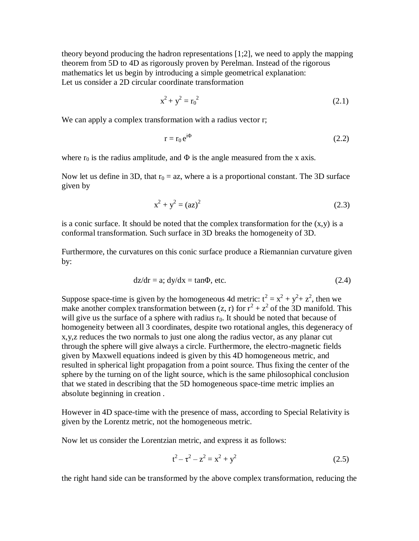theory beyond producing the hadron representations [1;2], we need to apply the mapping theorem from 5D to 4D as rigorously proven by Perelman. Instead of the rigorous mathematics let us begin by introducing a simple geometrical explanation: Let us consider a 2D circular coordinate transformation

$$
x^2 + y^2 = r_0^2 \tag{2.1}
$$

We can apply a complex transformation with a radius vector r;

$$
r = r_0 e^{i\Phi} \tag{2.2}
$$

where  $r_0$  is the radius amplitude, and  $\Phi$  is the angle measured from the x axis.

Now let us define in 3D, that  $r_0 = az$ , where a is a proportional constant. The 3D surface given by

$$
x^2 + y^2 = (az)^2 \tag{2.3}
$$

is a conic surface. It should be noted that the complex transformation for the  $(x, y)$  is a conformal transformation. Such surface in 3D breaks the homogeneity of 3D.

Furthermore, the curvatures on this conic surface produce a Riemannian curvature given by:

$$
dz/dr = a; dy/dx = \tan\Phi, \text{ etc.}
$$
 (2.4)

Suppose space-time is given by the homogeneous 4d metric:  $t^2 = x^2 + y^2 + z^2$ , then we make another complex transformation between (z, r) for  $r^2 + z^2$  of the 3D manifold. This will give us the surface of a sphere with radius  $r_0$ . It should be noted that because of homogeneity between all 3 coordinates, despite two rotational angles, this degeneracy of x,y,z reduces the two normals to just one along the radius vector, as any planar cut through the sphere will give always a circle. Furthermore, the electro-magnetic fields given by Maxwell equations indeed is given by this 4D homogeneous metric, and resulted in spherical light propagation from a point source. Thus fixing the center of the sphere by the turning on of the light source, which is the same philosophical conclusion that we stated in describing that the 5D homogeneous space-time metric implies an absolute beginning in creation .

However in 4D space-time with the presence of mass, according to Special Relativity is given by the Lorentz metric, not the homogeneous metric.

Now let us consider the Lorentzian metric, and express it as follows:

$$
t^2 - \tau^2 - z^2 = x^2 + y^2 \tag{2.5}
$$

the right hand side can be transformed by the above complex transformation, reducing the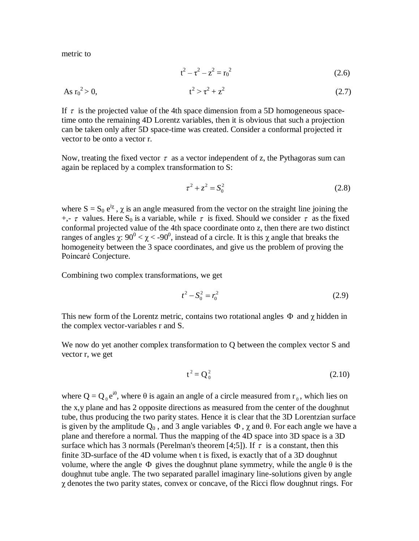metric to

$$
t^2 - \tau^2 - z^2 = r_0^2 \tag{2.6}
$$

As 
$$
r_0^2 > 0
$$
,  $t^2 > \tau^2 + z^2$  (2.7)

If  $\tau$  is the projected value of the 4th space dimension from a 5D homogeneous spacetime onto the remaining 4D Lorentz variables, then it is obvious that such a projection can be taken only after 5D space-time was created. Consider a conformal projected iτ vector to be onto a vector r.

Now, treating the fixed vector  $\tau$  as a vector independent of z, the Pythagoras sum can again be replaced by a complex transformation to S:

$$
\tau^2 + z^2 = S_0^2 \tag{2.8}
$$

where  $S = S_0 e^{i\chi}$ ,  $\chi$  is an angle measured from the vector on the straight line joining the  $+, \tau$  values. Here S<sub>0</sub> is a variable, while  $\tau$  is fixed. Should we consider  $\tau$  as the fixed conformal projected value of the 4th space coordinate onto z, then there are two distinct ranges of angles  $\chi$ : 90<sup>0</sup> <  $\chi$  < -90<sup>0</sup>, instead of a circle. It is this  $\chi$  angle that breaks the homogeneity between the 3 space coordinates, and give us the problem of proving the Poincaré Conjecture.

Combining two complex transformations, we get

$$
t^2 - S_0^2 = r_0^2 \tag{2.9}
$$

This new form of the Lorentz metric, contains two rotational angles  $\Phi$  and  $\chi$  hidden in the complex vector-variables r and S.

We now do yet another complex transformation to Q between the complex vector S and vector r, we get

$$
t^2 = Q_0^2 \tag{2.10}
$$

where  $Q = Q_0 e^{i\theta}$ , where  $\theta$  is again an angle of a circle measured from  $r_0$ , which lies on the x,y plane and has 2 opposite directions as measured from the center of the doughnut tube, thus producing the two parity states. Hence it is clear that the 3D Lorentzian surface is given by the amplitude  $Q_0$ , and 3 angle variables  $\Phi$ ,  $\chi$  and  $\theta$ . For each angle we have a plane and therefore a normal. Thus the mapping of the 4D space into 3D space is a 3D surface which has 3 normals (Perelman's theorem [4;5]). If  $\tau$  is a constant, then this finite 3D-surface of the 4D volume when t is fixed, is exactly that of a 3D doughnut volume, where the angle  $\Phi$  gives the doughnut plane symmetry, while the angle  $\theta$  is the doughnut tube angle. The two separated parallel imaginary line-solutions given by angle χ denotes the two parity states, convex or concave, of the Ricci flow doughnut rings. For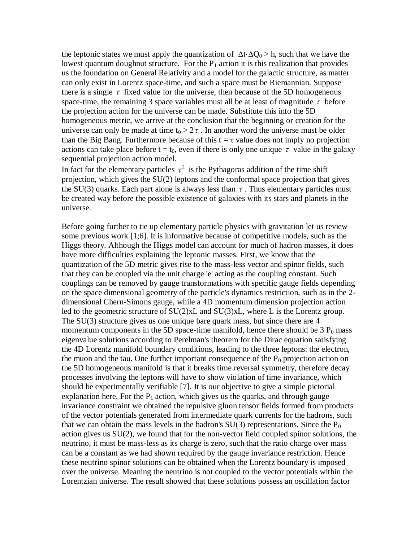the leptonic states we must apply the quantization of  $\Delta t \cdot \Delta Q_0 > h$ , such that we have the lowest quantum doughnut structure. For the  $P_1$  action it is this realization that provides us the foundation on General Relativity and a model for the galactic structure, as matter can only exist in Lorentz space-time, and such a space must be Riemannian. Suppose there is a single  $\tau$  fixed value for the universe, then because of the 5D homogeneous space-time, the remaining 3 space variables must all be at least of magnitude  $\tau$  before the projection action for the universe can be made. Substitute this into the 5D homogeneous metric, we arrive at the conclusion that the beginning or creation for the universe can only be made at time  $t_0 > 2\tau$ . In another word the universe must be older than the Big Bang. Furthermore because of this  $t = \tau$  value does not imply no projection actions can take place before  $t = t_0$ , even if there is only one unique  $\tau$  value in the galaxy sequential projection action model.

In fact for the elementary particles  $\tau^2$  is the Pythagoras addition of the time shift projection, which gives the SU(2) leptons and the conformal space projection that gives the SU(3) quarks. Each part alone is always less than  $\tau$ . Thus elementary particles must be created way before the possible existence of galaxies with its stars and planets in the universe.

Before going further to tie up elementary particle physics with gravitation let us review some previous work [1;6]. It is informative because of competitive models, such as the Higgs theory. Although the Higgs model can account for much of hadron masses, it does have more difficulties explaining the leptonic masses. First, we know that the quantization of the 5D metric gives rise to the mass-less vector and spinor fields, such that they can be coupled via the unit charge 'e' acting as the coupling constant. Such couplings can be removed by gauge transformations with specific gauge fields depending on the space dimensional geometry of the particle's dynamics restriction, such as in the 2 dimensional Chern-Simons gauge, while a 4D momentum dimension projection action led to the geometric structure of SU(2)xL and SU(3)xL, where L is the Lorentz group. The SU(3) structure gives us one unique bare quark mass, but since there are 4 momentum components in the 5D space-time manifold, hence there should be  $3 P_0$  mass eigenvalue solutions according to Perelman's theorem for the Dirac equation satisfying the 4D Lorentz manifold boundary conditions, leading to the three leptons: the electron, the muon and the tau. One further important consequence of the  $P_0$  projection action on the 5D homogeneous manifold is that it breaks time reversal symmetry, therefore decay processes involving the leptons will have to show violation of time invariance, which should be experimentally verifiable [7]. It is our objective to give a simple pictorial explanation here. For the  $P_1$  action, which gives us the quarks, and through gauge invariance constraint we obtained the repulsive gluon tensor fields formed from products of the vector potentials generated from intermediate quark currents for the hadrons, such that we can obtain the mass levels in the hadron's  $SU(3)$  representations. Since the  $P_0$ action gives us SU(2), we found that for the non-vector field coupled spinor solutions, the neutrino, it must be mass-less as its charge is zero, such that the ratio charge over mass can be a constant as we had shown required by the gauge invariance restriction. Hence these neutrino spinor solutions can be obtained when the Lorentz boundary is imposed over the universe. Meaning the neutrino is not coupled to the vector potentials within the Lorentzian universe. The result showed that these solutions possess an oscillation factor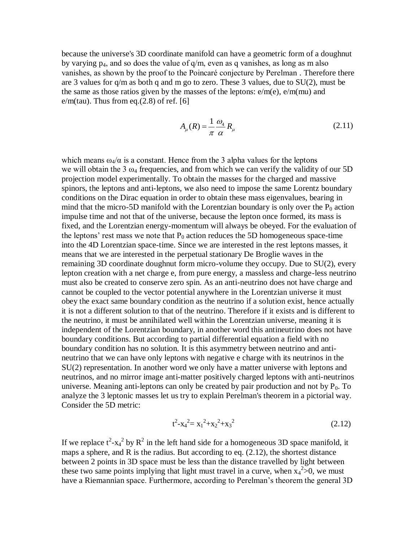because the universe's 3D coordinate manifold can have a geometric form of a doughnut by varying  $p_4$ , and so does the value of  $q/m$ , even as q vanishes, as long as m also vanishes, as shown by the proof to the Poincaré conjecture by Perelman . Therefore there are 3 values for q/m as both q and m go to zero. These 3 values, due to SU(2), must be the same as those ratios given by the masses of the leptons:  $e/m(e)$ ,  $e/m(mu)$  and  $e/m(tau)$ . Thus from eq.(2.8) of ref. [6]

$$
A_{\mu}(R) = \frac{1}{\pi} \frac{\omega_4}{\alpha} R_{\mu}
$$
 (2.11)

which means  $\omega_4/\alpha$  is a constant. Hence from the 3 alpha values for the leptons we will obtain the 3  $\omega_4$  frequencies, and from which we can verify the validity of our 5D projection model experimentally. To obtain the masses for the charged and massive spinors, the leptons and anti-leptons, we also need to impose the same Lorentz boundary conditions on the Dirac equation in order to obtain these mass eigenvalues, bearing in mind that the micro-5D manifold with the Lorentzian boundary is only over the  $P_0$  action impulse time and not that of the universe, because the lepton once formed, its mass is fixed, and the Lorentzian energy-momentum will always be obeyed. For the evaluation of the leptons' rest mass we note that  $P_0$  action reduces the 5D homogeneous space-time into the 4D Lorentzian space-time. Since we are interested in the rest leptons masses, it means that we are interested in the perpetual stationary De Broglie waves in the remaining 3D coordinate doughnut form micro-volume they occupy. Due to SU(2), every lepton creation with a net charge e, from pure energy, a massless and charge-less neutrino must also be created to conserve zero spin. As an anti-neutrino does not have charge and cannot be coupled to the vector potential anywhere in the Lorentzian universe it must obey the exact same boundary condition as the neutrino if a solution exist, hence actually it is not a different solution to that of the neutrino. Therefore if it exists and is different to the neutrino, it must be annihilated well within the Lorentzian universe, meaning it is independent of the Lorentzian boundary, in another word this antineutrino does not have boundary conditions. But according to partial differential equation a field with no boundary condition has no solution. It is this asymmetry between neutrino and antineutrino that we can have only leptons with negative e charge with its neutrinos in the SU(2) representation. In another word we only have a matter universe with leptons and neutrinos, and no mirror image anti-matter positively charged leptons with anti-neutrinos universe. Meaning anti-leptons can only be created by pair production and not by  $P_0$ . To analyze the 3 leptonic masses let us try to explain Perelman's theorem in a pictorial way. Consider the 5D metric:

$$
t^2 - x_4^2 = x_1^2 + x_2^2 + x_3^2 \tag{2.12}
$$

If we replace  $t^2$ -x<sub>4</sub><sup>2</sup> by  $R^2$  in the left hand side for a homogeneous 3D space manifold, it maps a sphere, and R is the radius. But according to eq. (2.12), the shortest distance between 2 points in 3D space must be less than the distance travelled by light between these two same points implying that light must travel in a curve, when  $x_4^2 > 0$ , we must have a Riemannian space. Furthermore, according to Perelman's theorem the general 3D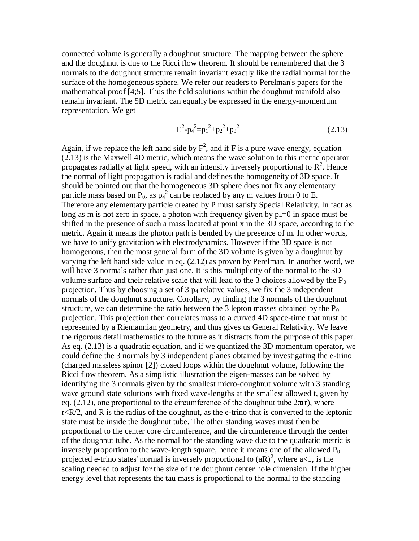connected volume is generally a doughnut structure. The mapping between the sphere and the doughnut is due to the Ricci flow theorem. It should be remembered that the 3 normals to the doughnut structure remain invariant exactly like the radial normal for the surface of the homogeneous sphere. We refer our readers to Perelman's papers for the mathematical proof [4;5]. Thus the field solutions within the doughnut manifold also remain invariant. The 5D metric can equally be expressed in the energy-momentum representation. We get

$$
E^2 - p_4^2 = p_1^2 + p_2^2 + p_3^2 \tag{2.13}
$$

Again, if we replace the left hand side by  $F^2$ , and if F is a pure wave energy, equation (2.13) is the Maxwell 4D metric, which means the wave solution to this metric operator propagates radially at light speed, with an intensity inversely proportional to  $R^2$ . Hence the normal of light propagation is radial and defines the homogeneity of 3D space. It should be pointed out that the homogeneous 3D sphere does not fix any elementary particle mass based on  $P_0$ , as  $p_4^2$  can be replaced by any m values from 0 to E. Therefore any elementary particle created by P must satisfy Special Relativity. In fact as long as m is not zero in space, a photon with frequency given by  $p_4=0$  in space must be shifted in the presence of such a mass located at point x in the 3D space, according to the metric. Again it means the photon path is bended by the presence of m. In other words, we have to unify gravitation with electrodynamics. However if the 3D space is not homogenous, then the most general form of the 3D volume is given by a doughnut by varying the left hand side value in eq. (2.12) as proven by Perelman. In another word, we will have 3 normals rather than just one. It is this multiplicity of the normal to the 3D volume surface and their relative scale that will lead to the 3 choices allowed by the  $P_0$ projection. Thus by choosing a set of  $3 p_4$  relative values, we fix the  $3$  independent normals of the doughnut structure. Corollary, by finding the 3 normals of the doughnut structure, we can determine the ratio between the 3 lepton masses obtained by the  $P_0$ projection. This projection then correlates mass to a curved 4D space-time that must be represented by a Riemannian geometry, and thus gives us General Relativity. We leave the rigorous detail mathematics to the future as it distracts from the purpose of this paper. As eq. (2.13) is a quadratic equation, and if we quantized the 3D momentum operator, we could define the 3 normals by 3 independent planes obtained by investigating the e-trino (charged massless spinor [2]) closed loops within the doughnut volume, following the Ricci flow theorem. As a simplistic illustration the eigen-masses can be solved by identifying the 3 normals given by the smallest micro-doughnut volume with 3 standing wave ground state solutions with fixed wave-lengths at the smallest allowed t, given by eq. (2.12), one proportional to the circumference of the doughnut tube  $2\pi(r)$ , where  $r < R/2$ , and R is the radius of the doughnut, as the e-trino that is converted to the leptonic state must be inside the doughnut tube. The other standing waves must then be proportional to the center core circumference, and the circumference through the center of the doughnut tube. As the normal for the standing wave due to the quadratic metric is inversely proportion to the wave-length square, hence it means one of the allowed  $P_0$ projected e-trino states' normal is inversely proportional to  $(aR)^2$ , where  $a<1$ , is the scaling needed to adjust for the size of the doughnut center hole dimension. If the higher energy level that represents the tau mass is proportional to the normal to the standing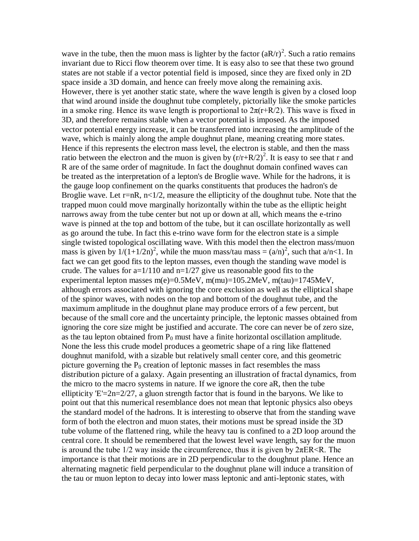wave in the tube, then the muon mass is lighter by the factor  $(aR/r)^2$ . Such a ratio remains invariant due to Ricci flow theorem over time. It is easy also to see that these two ground states are not stable if a vector potential field is imposed, since they are fixed only in 2D space inside a 3D domain, and hence can freely move along the remaining axis. However, there is yet another static state, where the wave length is given by a closed loop that wind around inside the doughnut tube completely, pictorially like the smoke particles in a smoke ring. Hence its wave length is proportional to  $2\pi(r+R/2)$ . This wave is fixed in 3D, and therefore remains stable when a vector potential is imposed. As the imposed vector potential energy increase, it can be transferred into increasing the amplitude of the wave, which is mainly along the ample doughnut plane, meaning creating more states. Hence if this represents the electron mass level, the electron is stable, and then the mass ratio between the electron and the muon is given by  $(r/r + R/2)^2$ . It is easy to see that r and R are of the same order of magnitude. In fact the doughnut domain confined waves can be treated as the interpretation of a lepton's de Broglie wave. While for the hadrons, it is the gauge loop confinement on the quarks constituents that produces the hadron's de Broglie wave. Let  $r=nR$ ,  $n<1/2$ , measure the ellipticity of the doughnut tube. Note that the trapped muon could move marginally horizontally within the tube as the elliptic height narrows away from the tube center but not up or down at all, which means the e-trino wave is pinned at the top and bottom of the tube, but it can oscillate horizontally as well as go around the tube. In fact this e-trino wave form for the electron state is a simple single twisted topological oscillating wave. With this model then the electron mass/muon mass is given by  $1/(1+1/2n)^2$ , while the muon mass/tau mass =  $(a/n)^2$ , such that  $a/n < 1$ . In fact we can get good fits to the lepton masses, even though the standing wave model is crude. The values for  $a=1/110$  and  $n=1/27$  give us reasonable good fits to the experimental lepton masses m(e)=0.5MeV, m(mu)=105.2MeV, m(tau)=1745MeV, although errors associated with ignoring the core exclusion as well as the elliptical shape of the spinor waves, with nodes on the top and bottom of the doughnut tube, and the maximum amplitude in the doughnut plane may produce errors of a few percent, but because of the small core and the uncertainty principle, the leptonic masses obtained from ignoring the core size might be justified and accurate. The core can never be of zero size, as the tau lepton obtained from  $P_0$  must have a finite horizontal oscillation amplitude. None the less this crude model produces a geometric shape of a ring like flattened doughnut manifold, with a sizable but relatively small center core, and this geometric picture governing the  $P_0$  creation of leptonic masses in fact resembles the mass distribution picture of a galaxy. Again presenting an illustration of fractal dynamics, from the micro to the macro systems in nature. If we ignore the core aR, then the tube ellipticity  $E'=2n=2/27$ , a gluon strength factor that is found in the baryons. We like to point out that this numerical resemblance does not mean that leptonic physics also obeys the standard model of the hadrons. It is interesting to observe that from the standing wave form of both the electron and muon states, their motions must be spread inside the 3D tube volume of the flattened ring, while the heavy tau is confined to a 2D loop around the central core. It should be remembered that the lowest level wave length, say for the muon is around the tube  $1/2$  way inside the circumference, thus it is given by  $2\pi ER \le R$ . The importance is that their motions are in 2D perpendicular to the doughnut plane. Hence an alternating magnetic field perpendicular to the doughnut plane will induce a transition of the tau or muon lepton to decay into lower mass leptonic and anti-leptonic states, with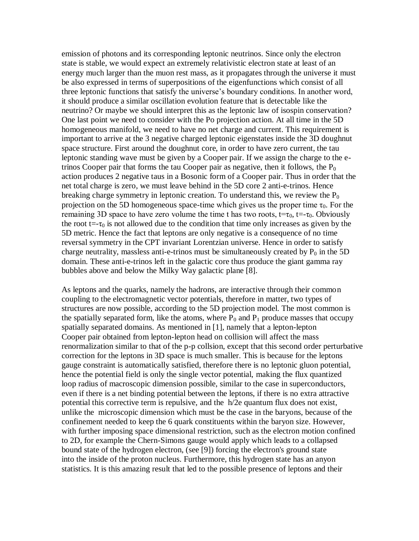emission of photons and its corresponding leptonic neutrinos. Since only the electron state is stable, we would expect an extremely relativistic electron state at least of an energy much larger than the muon rest mass, as it propagates through the universe it must be also expressed in terms of superpositions of the eigenfunctions which consist of all three leptonic functions that satisfy the universe's boundary conditions. In another word, it should produce a similar oscillation evolution feature that is detectable like the neutrino? Or maybe we should interpret this as the leptonic law of isospin conservation? One last point we need to consider with the Po projection action. At all time in the 5D homogeneous manifold, we need to have no net charge and current. This requirement is important to arrive at the 3 negative charged leptonic eigenstates inside the 3D doughnut space structure. First around the doughnut core, in order to have zero current, the tau leptonic standing wave must be given by a Cooper pair. If we assign the charge to the etrinos Cooper pair that forms the tau Cooper pair as negative, then it follows, the  $P_0$ action produces 2 negative taus in a Bosonic form of a Cooper pair. Thus in order that the net total charge is zero, we must leave behind in the 5D core 2 anti-e-trinos. Hence breaking charge symmetry in leptonic creation. To understand this, we review the  $P_0$ projection on the 5D homogeneous space-time which gives us the proper time  $\tau_0$ . For the remaining 3D space to have zero volume the time t has two roots,  $t=\tau_0$ ,  $t=-\tau_0$ . Obviously the root t=- $\tau_0$  is not allowed due to the condition that time only increases as given by the 5D metric. Hence the fact that leptons are only negative is a consequence of no time reversal symmetry in the CPT invariant Lorentzian universe. Hence in order to satisfy charge neutrality, massless anti-e-trinos must be simultaneously created by  $P_0$  in the 5D domain. These anti-e-trinos left in the galactic core thus produce the giant gamma ray bubbles above and below the Milky Way galactic plane [8].

As leptons and the quarks, namely the hadrons, are interactive through their common coupling to the electromagnetic vector potentials, therefore in matter, two types of structures are now possible, according to the 5D projection model. The most common is the spatially separated form, like the atoms, where  $P_0$  and  $P_1$  produce masses that occupy spatially separated domains. As mentioned in [1], namely that a lepton-lepton Cooper pair obtained from lepton-lepton head on collision will affect the mass renormalization similar to that of the p-p collsion, except that this second order perturbative correction for the leptons in 3D space is much smaller. This is because for the leptons gauge constraint is automatically satisfied, therefore there is no leptonic gluon potential, hence the potential field is only the single vector potential, making the flux quantized loop radius of macroscopic dimension possible, similar to the case in superconductors, even if there is a net binding potential between the leptons, if there is no extra attractive potential this corrective term is repulsive, and the h/2e quantum flux does not exist, unlike the microscopic dimension which must be the case in the baryons, because of the confinement needed to keep the 6 quark constituents within the baryon size. However, with further imposing space dimensional restriction, such as the electron motion confined to 2D, for example the Chern-Simons gauge would apply which leads to a collapsed bound state of the hydrogen electron, (see [9]) forcing the electron's ground state into the inside of the proton nucleus. Furthermore, this hydrogen state has an anyon statistics. It is this amazing result that led to the possible presence of leptons and their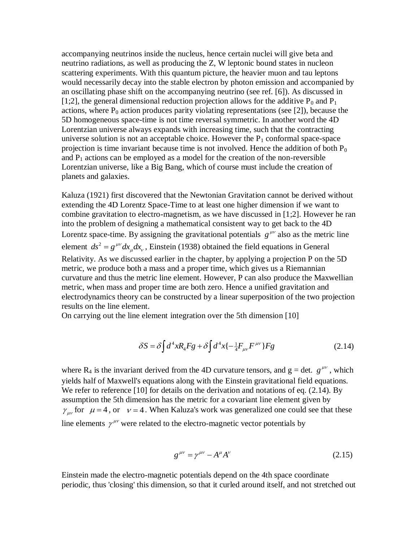accompanying neutrinos inside the nucleus, hence certain nuclei will give beta and neutrino radiations, as well as producing the Z, W leptonic bound states in nucleon scattering experiments. With this quantum picture, the heavier muon and tau leptons would necessarily decay into the stable electron by photon emission and accompanied by an oscillating phase shift on the accompanying neutrino (see ref. [6]). As discussed in [1;2], the general dimensional reduction projection allows for the additive  $P_0$  and  $P_1$ actions, where  $P_0$  action produces parity violating representations (see [2]), because the 5D homogeneous space-time is not time reversal symmetric. In another word the 4D Lorentzian universe always expands with increasing time, such that the contracting universe solution is not an acceptable choice. However the  $P_1$  conformal space-space projection is time invariant because time is not involved. Hence the addition of both  $P_0$ and  $P_1$  actions can be employed as a model for the creation of the non-reversible Lorentzian universe, like a Big Bang, which of course must include the creation of planets and galaxies.

Kaluza (1921) first discovered that the Newtonian Gravitation cannot be derived without extending the 4D Lorentz Space-Time to at least one higher dimension if we want to combine gravitation to electro-magnetism, as we have discussed in [1;2]. However he ran into the problem of designing a mathematical consistent way to get back to the 4D Lorentz space-time. By assigning the gravitational potentials  $g^{\mu\nu}$  also as the metric line element  $ds^2 = g^{\mu\nu} dx_{\mu} dx_{\nu}$ , Einstein (1938) obtained the field equations in General Relativity. As we discussed earlier in the chapter, by applying a projection P on the 5D metric, we produce both a mass and a proper time, which gives us a Riemannian curvature and thus the metric line element. However, P can also produce the Maxwellian metric, when mass and proper time are both zero. Hence a unified gravitation and electrodynamics theory can be constructed by a linear superposition of the two projection results on the line element.

On carrying out the line element integration over the 5th dimension [10]

$$
\delta S = \delta \int d^4x R_4 F g + \delta \int d^4x \{-\frac{1}{4}F_{\mu\nu}F^{\mu\nu}\} F g \qquad (2.14)
$$

where R<sub>4</sub> is the invariant derived from the 4D curvature tensors, and  $g = det$ .  $g^{\mu\nu}$ , which yields half of Maxwell's equations along with the Einstein gravitational field equations. We refer to reference  $[10]$  for details on the derivation and notations of eq.  $(2.14)$ . By assumption the 5th dimension has the metric for a covariant line element given by  $\gamma_{\mu\nu}$  for  $\mu = 4$ , or  $\nu = 4$ . When Kaluza's work was generalized one could see that these line elements  $\gamma^{\mu\nu}$  were related to the electro-magnetic vector potentials by

$$
g^{\mu\nu} = \gamma^{\mu\nu} - A^{\mu}A^{\nu} \tag{2.15}
$$

Einstein made the electro-magnetic potentials depend on the 4th space coordinate periodic, thus 'closing' this dimension, so that it curled around itself, and not stretched out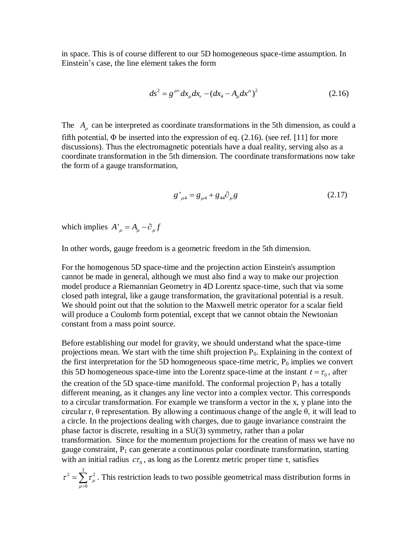in space. This is of course different to our 5D homogeneous space-time assumption. In Einstein's case, the line element takes the form

$$
ds^{2} = g^{\mu\nu} dx_{\mu} dx_{\nu} - (dx_{4} - A_{\mu} dx^{\mu})^{2}
$$
 (2.16)

The  $A_\mu$  can be interpreted as coordinate transformations in the 5th dimension, as could a fifth potential,  $\Phi$  be inserted into the expression of eq. (2.16). (see ref. [11] for more discussions). Thus the electromagnetic potentials have a dual reality, serving also as a coordinate transformation in the 5th dimension. The coordinate transformations now take the form of a gauge transformation,

$$
g'_{\mu 4} = g_{\mu 4} + g_{44} \partial_{\mu} g \tag{2.17}
$$

which implies  $A^{\prime}_{\mu} = A_{\mu} - \partial_{\mu} f$ 

In other words, gauge freedom is a geometric freedom in the 5th dimension.

For the homogenous 5D space-time and the projection action Einstein's assumption cannot be made in general, although we must also find a way to make our projection model produce a Riemannian Geometry in 4D Lorentz space-time, such that via some closed path integral, like a gauge transformation, the gravitational potential is a result. We should point out that the solution to the Maxwell metric operator for a scalar field will produce a Coulomb form potential, except that we cannot obtain the Newtonian constant from a mass point source.

Before establishing our model for gravity, we should understand what the space-time projections mean. We start with the time shift projection  $P_0$ . Explaining in the context of the first interpretation for the 5D homogeneous space-time metric,  $P_0$  implies we convert this 5D homogeneous space-time into the Lorentz space-time at the instant  $t = \tau_0$ , after the creation of the 5D space-time manifold. The conformal projection  $P_1$  has a totally different meaning, as it changes any line vector into a complex vector. This corresponds to a circular transformation. For example we transform a vector in the x, y plane into the circular r,  $\theta$  representation. By allowing a continuous change of the angle  $\theta$ , it will lead to a circle. In the projections dealing with charges, due to gauge invariance constraint the phase factor is discrete, resulting in a SU(3) symmetry, rather than a polar transformation. Since for the momentum projections for the creation of mass we have no gauge constraint,  $P_1$  can generate a continuous polar coordinate transformation, starting with an initial radius  $c\tau_0$ , as long as the Lorentz metric proper time  $\tau$ , satisfies

2  $\frac{3}{2}$   $\frac{2}{3}$  $\tau^2 = \sum_{\mu=0} \tau^2_{\mu}$  $_{\mu}$  $=\sum_{\mu=0} \tau_{\mu}^2$ . This restriction leads to two possible geometrical mass distribution forms in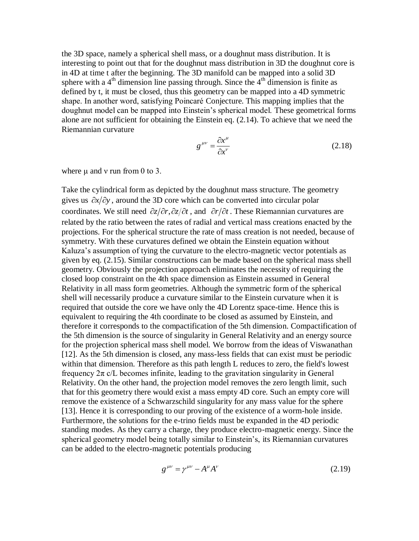the 3D space, namely a spherical shell mass, or a doughnut mass distribution. It is interesting to point out that for the doughnut mass distribution in 3D the doughnut core is in 4D at time t after the beginning. The 3D manifold can be mapped into a solid 3D sphere with a  $4<sup>th</sup>$  dimension line passing through. Since the  $4<sup>th</sup>$  dimension is finite as defined by t, it must be closed, thus this geometry can be mapped into a 4D symmetric shape. In another word, satisfying Poincaré Conjecture. This mapping implies that the doughnut model can be mapped into Einstein's spherical model. These geometrical forms alone are not sufficient for obtaining the Einstein eq. (2.14). To achieve that we need the Riemannian curvature

$$
g^{\mu\nu} = \frac{\partial x^{\mu}}{\partial x^{\nu}} \tag{2.18}
$$

where  $\mu$  and  $\nu$  run from 0 to 3.

Take the cylindrical form as depicted by the doughnut mass structure. The geometry gives us  $\partial x/\partial y$ , around the 3D core which can be converted into circular polar coordinates. We still need  $\partial z/\partial r$ ,  $\partial z/\partial t$ , and  $\partial r/\partial t$ . These Riemannian curvatures are related by the ratio between the rates of radial and vertical mass creations enacted by the projections. For the spherical structure the rate of mass creation is not needed, because of symmetry. With these curvatures defined we obtain the Einstein equation without K aluza's assumption of tying the curvature to the electro-magnetic vector potentials as given by eq. (2.15). Similar constructions can be made based on the spherical mass shell geometry. Obviously the projection approach eliminates the necessity of requiring the closed loop constraint on the 4th space dimension as Einstein assumed in General Relativity in all mass form geometries. Although the symmetric form of the spherical shell will necessarily produce a curvature similar to the Einstein curvature when it is required that outside the core we have only the 4D Lorentz space-time. Hence this is equivalent to requiring the 4th coordinate to be closed as assumed by Einstein, and therefore it corresponds to the compactification of the 5th dimension. Compactification of the 5th dimension is the source of singularity in General Relativity and an energy source for the projection spherical mass shell model. We borrow from the ideas of Viswanathan [12]. As the 5th dimension is closed, any mass-less fields that can exist must be periodic within that dimension. Therefore as this path length L reduces to zero, the field's lowest frequency  $2\pi$  c/L becomes infinite, leading to the gravitation singularity in General Relativity. On the other hand, the projection model removes the zero length limit, such that for this geometry there would exist a mass empty 4D core. Such an empty core will remove the existence of a Schwarzschild singularity for any mass value for the sphere [13]. Hence it is corresponding to our proving of the existence of a worm-hole inside. Furthermore, the solutions for the e-trino fields must be expanded in the 4D periodic standing modes. As they carry a charge, they produce electro-magnetic energy. Since the spherical geometry model being totally similar to Einstein's, its Riemannian curvatures can be added to the electro-magnetic potentials producing

$$
g^{\mu\nu} = \gamma^{\mu\nu} - A^{\mu}A^{\nu} \tag{2.19}
$$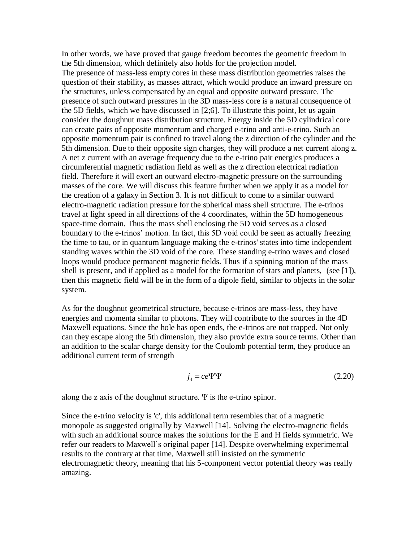In other words, we have proved that gauge freedom becomes the geometric freedom in the 5th dimension, which definitely also holds for the projection model. The presence of mass-less empty cores in these mass distribution geometries raises the question of their stability, as masses attract, which would produce an inward pressure on the structures, unless compensated by an equal and opposite outward pressure. The presence of such outward pressures in the 3D mass-less core is a natural consequence of the 5D fields, which we have discussed in [2;6]. To illustrate this point, let us again consider the doughnut mass distribution structure. Energy inside the 5D cylindrical core can create pairs of opposite momentum and charged e-trino and anti-e-trino. Such an opposite momentum pair is confined to travel along the z direction of the cylinder and the 5th dimension. Due to their opposite sign charges, they will produce a net current along z. A net z current with an average frequency due to the e-trino pair energies produces a circumferential magnetic radiation field as well as the z direction electrical radiation field. Therefore it will exert an outward electro-magnetic pressure on the surrounding masses of the core. We will discuss this feature further when we apply it as a model for the creation of a galaxy in Section 3. It is not difficult to come to a similar outward electro-magnetic radiation pressure for the spherical mass shell structure. The e-trinos travel at light speed in all directions of the 4 coordinates, within the 5D homogeneous space-time domain. Thus the mass shell enclosing the 5D void serves as a closed boundary to the e-trinos' motion. In fact, this 5D void could be seen as actually freezing the time to tau, or in quantum language making the e-trinos' states into time independent standing waves within the 3D void of the core. These standing e-trino waves and closed loops would produce permanent magnetic fields. Thus if a spinning motion of the mass shell is present, and if applied as a model for the formation of stars and planets, (see [1]), then this magnetic field will be in the form of a dipole field, similar to objects in the solar system.

As for the doughnut geometrical structure, because e-trinos are mass-less, they have energies and momenta similar to photons. They will contribute to the sources in the 4D Maxwell equations. Since the hole has open ends, the e-trinos are not trapped. Not only can they escape along the 5th dimension, they also provide extra source terms. Other than an addition to the scalar charge density for the Coulomb potential term, they produce an additional current term of strength

$$
j_4 = ce\overline{\Psi}\Psi\tag{2.20}
$$

along the z axis of the doughnut structure. Ψ is the e-trino spinor.

Since the e-trino velocity is 'c', this additional term resembles that of a magnetic monopole as suggested originally by Maxwell [14]. Solving the electro-magnetic fields with such an additional source makes the solutions for the E and H fields symmetric. We refer our readers to Maxwell's original paper [14]. Despite overwhelming experimental results to the contrary at that time, Maxwell still insisted on the symmetric electromagnetic theory, meaning that his 5-component vector potential theory was really amazing.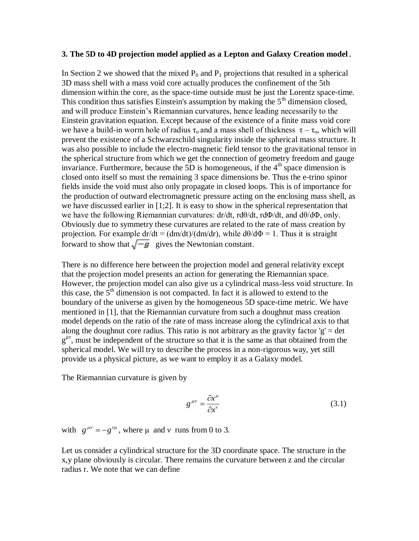#### **3. The 5D to 4D projection model applied as a Lepton and Galaxy Creation model.**

In Section 2 we showed that the mixed  $P_0$  and  $P_1$  projections that resulted in a spherical 3D mass shell with a mass void core actually produces the confinement of the 5th dimension within the core, as the space-time outside must be just the Lorentz space-time. This condition thus satisfies Einstein's assumption by making the  $5<sup>th</sup>$  dimension closed, and will produce Einstein's Riemannian curvatures, hence leading necessarily to the Einstein gravitation equation. Except because of the existence of a finite mass void core we have a build-in worm hole of radius  $\tau_0$  and a mass shell of thickness  $\tau - \tau_0$ , which will prevent the existence of a Schwarzschild singularity inside the spherical mass structure. It was also possible to include the electro-magnetic field tensor to the gravitational tensor in the spherical structure from which we get the connection of geometry freedom and gauge invariance. Furthermore, because the 5D is homogeneous, if the  $4<sup>th</sup>$  space dimension is closed onto itself so must the remaining 3 space dimensions be. Thus the e-trino spinor fields inside the void must also only propagate in closed loops. This is of importance for the production of outward electromagnetic pressure acting on the enclosing mass shell, as we have discussed earlier in [1;2]. It is easy to show in the spherical representation that we have the following Riemannian curvatures:  $dr/dt$ ,  $r d\theta/dt$ ,  $r d\Phi/dt$ , and  $d\theta/d\Phi$ , only. Obviously due to symmetry these curvatures are related to the rate of mass creation by projection. For example  $dr/dt = (dm/dt)/(dm/dr)$ , while  $d\theta/d\Phi = 1$ . Thus it is straight forward to show that  $\sqrt{-g}$  gives the Newtonian constant.

There is no difference here between the projection model and general relativity except that the projection model presents an action for generating the Riemannian space. However, the projection model can also give us a cylindrical mass-less void structure. In this case, the  $5<sup>th</sup>$  dimension is not compacted. In fact it is allowed to extend to the boundary of the universe as given by the homogeneous 5D space-time metric. We have mentioned in [1], that the Riemannian curvature from such a doughnut mass creation model depends on the ratio of the rate of mass increase along the cylindrical axis to that along the doughnut core radius. This ratio is not arbitrary as the gravity factor  $g' = det$ g<sup>μν</sup>, must be independent of the structure so that it is the same as that obtained from the spherical model. We will try to describe the process in a non-rigorous way, yet still provide us a physical picture, as we want to employ it as a Galaxy model.

The Riemannian curvature is given by

$$
g^{\mu\nu} = \frac{\partial x^{\mu}}{\partial x^{\nu}} \tag{3.1}
$$

with  $g^{\mu\nu} = -g^{\nu\mu}$ , where  $\mu$  and  $\nu$  runs from 0 to 3.

Let us consider a cylindrical structure for the 3D coordinate space. The structure in the x,y plane obviously is circular. There remains the curvature between z and the circular radius r. We note that we can define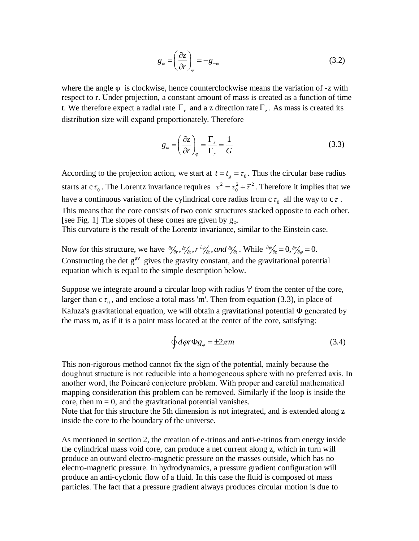$$
g_{\varphi} = \left(\frac{\partial z}{\partial r}\right)_{\varphi} = -g_{-\varphi} \tag{3.2}
$$

where the angle  $\varphi$  is clockwise, hence counterclockwise means the variation of -z with respect to r. Under projection, a constant amount of mass is created as a function of time t. We therefore expect a radial rate  $\Gamma_r$  and a z direction rate  $\Gamma_z$ . As mass is created its distribution size will expand proportionately. Therefore

$$
g_{\varphi} = \left(\frac{\partial z}{\partial r}\right)_{\varphi} = \frac{\Gamma_z}{\Gamma_r} = \frac{1}{G}
$$
 (3.3)

According to the projection action, we start at  $t = t_g = \tau_0$ . Thus the circular base radius starts at c $\tau_0$ . The Lorentz invariance requires  $\tau^2 = \tau_0^2 + \vec{\tau}^2$  $\tau^2 = \tau_0^2 + \vec{\tau}^2$ . Therefore it implies that we have a continuous variation of the cylindrical core radius from c  $\tau_0$  all the way to c  $\tau$ . This means that the core consists of two conic structures stacked opposite to each other. [see Fig. 1] The slopes of these cones are given by  $g_{\varphi}$ . This curvature is the result of the Lorentz invariance, similar to the Einstein case.

Now for this structure, we have  $\partial \psi_a$ ,  $\partial r'_{\partial t}$ ,  $r \partial \psi_{\partial t}$ , and  $\partial \psi_a$ . While  $\partial \psi_{\partial z} = 0$ ,  $\partial r'_{\partial \varphi} = 0$ . Constructing the det  $g^{\mu\nu}$  gives the gravity constant, and the gravitational potential equation which is equal to the simple description below.

Suppose we integrate around a circular loop with radius 'r' from the center of the core, larger than  $c\tau_0$ , and enclose a total mass 'm'. Then from equation (3.3), in place of Kaluza's gravitational equation, we will obtain a gravitational potential  $\Phi$  generated by the mass m, as if it is a point mass located at the center of the core, satisfying:

$$
\oint d\varphi r \Phi g_{\varphi} = \pm 2\pi m \tag{3.4}
$$

This non-rigorous method cannot fix the sign of the potential, mainly because the doughnut structure is not reducible into a homogeneous sphere with no preferred axis. In another word, the Poincaré conjecture problem. With proper and careful mathematical mapping consideration this problem can be removed. Similarly if the loop is inside the core, then  $m = 0$ , and the gravitational potential vanishes.

Note that for this structure the 5th dimension is not integrated, and is extended along z inside the core to the boundary of the universe.

As mentioned in section 2, the creation of e-trinos and anti-e-trinos from energy inside the cylindrical mass void core, can produce a net current along z, which in turn will produce an outward electro-magnetic pressure on the masses outside, which has no electro-magnetic pressure. In hydrodynamics, a pressure gradient configuration will produce an anti-cyclonic flow of a fluid. In this case the fluid is composed of mass particles. The fact that a pressure gradient always produces circular motion is due to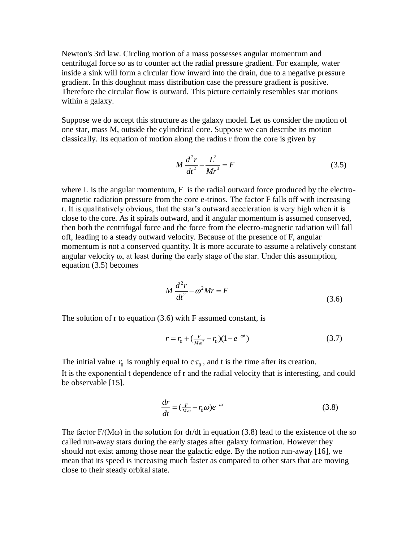Newton's 3rd law. Circling motion of a mass possesses angular momentum and centrifugal force so as to counter act the radial pressure gradient. For example, water inside a sink will form a circular flow inward into the drain, due to a negative pressure gradient. In this doughnut mass distribution case the pressure gradient is positive. Therefore the circular flow is outward. This picture certainly resembles star motions within a galaxy.

Suppose we do accept this structure as the galaxy model. Let us consider the motion of one star, mass M, outside the cylindrical core. Suppose we can describe its motion classically. Its equation of motion along the radius r from the core is given by

$$
M\frac{d^2r}{dt^2} - \frac{L^2}{Mr^3} = F
$$
 (3.5)

where  $L$  is the angular momentum,  $F$  is the radial outward force produced by the electromagnetic radiation pressure from the core e-trinos. The factor F falls off with increasing r. It is qualitatively obvious, that the star's outward acceleration is very high when it is close to the core. As it spirals outward, and if angular momentum is assumed conserved, then both the centrifugal force and the force from the electro-magnetic radiation will fall off, leading to a steady outward velocity. Because of the presence of F, angular momentum is not a conserved quantity. It is more accurate to assume a relatively constant angular velocity  $\omega$ , at least during the early stage of the star. Under this assumption, equation (3.5) becomes

$$
M\frac{d^2r}{dt^2} - \omega^2 Mr = F
$$
\n(3.6)

The solution of  $r$  to equation  $(3.6)$  with  $F$  assumed constant, is

$$
r = r_0 + \left(\frac{F}{M\omega^2} - r_0\right)\left(1 - e^{-\omega t}\right) \tag{3.7}
$$

The initial value  $r_0$  is roughly equal to  $c\tau_0$ , and t is the time after its creation. It is the exponential t dependence of r and the radial velocity that is interesting, and could be observable [15].

$$
\frac{dr}{dt} = \left(\frac{F}{M\omega} - r_0\omega\right)e^{-\omega t}
$$
\n(3.8)

The factor  $F/(M\omega)$  in the solution for dr/dt in equation (3.8) lead to the existence of the so called run-away stars during the early stages after galaxy formation. However they should not exist among those near the galactic edge. By the notion run-away [16], we mean that its speed is increasing much faster as compared to other stars that are moving close to their steady orbital state.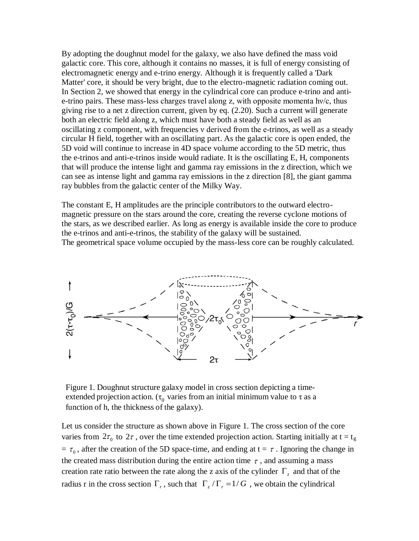By adopting the doughnut model for the galaxy, we also have defined the mass void galactic core. This core, although it contains no masses, it is full of energy consisting of electromagnetic energy and e-trino energy. Although it is frequently called a 'Dark Matter' core, it should be very bright, due to the electro-magnetic radiation coming out. In Section 2, we showed that energy in the cylindrical core can produce e-trino and antie-trino pairs. These mass-less charges travel along z, with opposite momenta hv/c, thus giving rise to a net z direction current, given by eq. (2.20). Such a current will generate both an electric field along z, which must have both a steady field as well as an oscillating z component, with frequencies v derived from the e-trinos, as well as a steady circular H field, together with an oscillating part. As the galactic core is open ended, the 5D void will continue to increase in 4D space volume according to the 5D metric, thus the e-trinos and anti-e-trinos inside would radiate. It is the oscillating E, H, components that will produce the intense light and gamma ray emissions in the z direction, which we can see as intense light and gamma ray emissions in the z direction [8], the giant gamma ray bubbles from the galactic center of the Milky Way.

The constant E, H amplitudes are the principle contributors to the outward electromagnetic pressure on the stars around the core, creating the reverse cyclone motions of the stars, as we described earlier. As long as energy is available inside the core to produce the e-trinos and anti-e-trinos, the stability of the galaxy will be sustained. The geometrical space volume occupied by the mass-less core can be roughly calculated.



Figure 1. Doughnut structure galaxy model in cross section depicting a timeextended projection action. ( $\tau_{0}$  varies from an initial minimum value to  $\tau$  as a function of h, the thickness of the galaxy).

Let us consider the structure as shown above in Figure 1. The cross section of the core varies from  $2\tau_0$  to  $2\tau$ , over the time extended projection action. Starting initially at  $t = t_g$  $= \tau_0$ , after the creation of the 5D space-time, and ending at  $t = \tau$ . Ignoring the change in the created mass distribution during the entire action time  $\tau$ , and assuming a mass creation rate ratio between the rate along the z axis of the cylinder  $\Gamma$ <sub>z</sub> and that of the radius r in the cross section  $\Gamma_r$ , such that  $\Gamma_z/\Gamma_r = 1/G$ , we obtain the cylindrical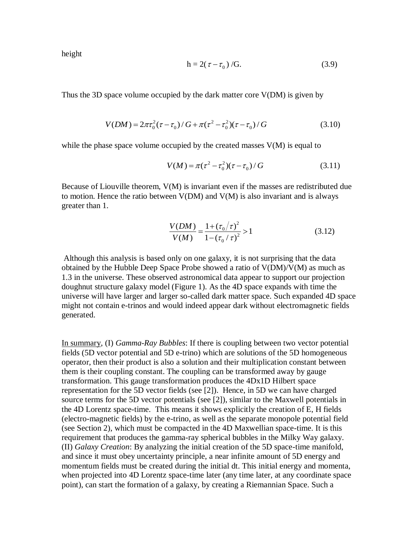height

$$
h = 2(\tau - \tau_0) / G. \tag{3.9}
$$

Thus the 3D space volume occupied by the dark matter core V(DM) is given by

$$
V(DM) = 2\pi\tau_0^2(\tau - \tau_0)/G + \pi(\tau^2 - \tau_0^2)(\tau - \tau_0)/G
$$
 (3.10)

while the phase space volume occupied by the created masses  $V(M)$  is equal to

$$
V(M) = \pi(\tau^2 - \tau_0^2)(\tau - \tau_0) / G \tag{3.11}
$$

Because of Liouville theorem, V(M) is invariant even if the masses are redistributed due to motion. Hence the ratio between  $V(DM)$  and  $V(M)$  is also invariant and is always greater than 1.

$$
\frac{V(DM)}{V(M)} = \frac{1 + (\tau_0/\tau)^2}{1 - (\tau_0/\tau)^2} > 1
$$
\n(3.12)

Although this analysis is based only on one galaxy, it is not surprising that the data obtained by the Hubble Deep Space Probe showed a ratio of V(DM)/V(M) as much as 1.3 in the universe. These observed astronomical data appear to support our projection doughnut structure galaxy model (Figure 1). As the 4D space expands with time the universe will have larger and larger so-called dark matter space. Such expanded 4D space might not contain e-trinos and would indeed appear dark without electromagnetic fields generated.

In summary, (I) *Gamma-Ray Bubbles*: If there is coupling between two vector potential fields (5D vector potential and 5D e-trino) which are solutions of the 5D homogeneous operator, then their product is also a solution and their multiplication constant between them is their coupling constant. The coupling can be transformed away by gauge transformation. This gauge transformation produces the 4Dx1D Hilbert space representation for the 5D vector fields (see [2]). Hence, in 5D we can have charged source terms for the 5D vector potentials (see [2]), similar to the Maxwell potentials in the 4D Lorentz space-time. This means it shows explicitly the creation of E, H fields (electro-magnetic fields) by the e-trino, as well as the separate monopole potential field (see Section 2), which must be compacted in the 4D Maxwellian space-time. It is this requirement that produces the gamma-ray spherical bubbles in the Milky Way galaxy. (II) *Galaxy Creation*: By analyzing the initial creation of the 5D space-time manifold, and since it must obey uncertainty principle, a near infinite amount of 5D energy and momentum fields must be created during the initial dt. This initial energy and momenta, when projected into 4D Lorentz space-time later (any time later, at any coordinate space point), can start the formation of a galaxy, by creating a Riemannian Space. Such a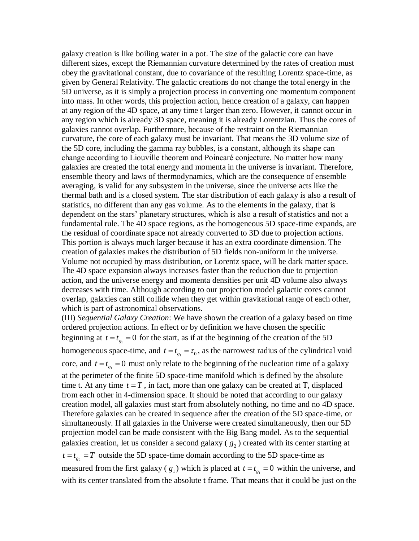galaxy creation is like boiling water in a pot. The size of the galactic core can have different sizes, except the Riemannian curvature determined by the rates of creation must obey the gravitational constant, due to covariance of the resulting Lorentz space-time, as given by General Relativity. The galactic creations do not change the total energy in the 5D universe, as it is simply a projection process in converting one momentum component into mass. In other words, this projection action, hence creation of a galaxy, can happen at any region of the 4D space, at any time t larger than zero. However, it cannot occur in any region which is already 3D space, meaning it is already Lorentzian. Thus the cores of galaxies cannot overlap. Furthermore, because of the restraint on the Riemannian curvature, the core of each galaxy must be invariant. That means the 3D volume size of the 5D core, including the gamma ray bubbles, is a constant, although its shape can change according to Liouville theorem and Poincaré conjecture. No matter how many galaxies are created the total energy and momenta in the universe is invariant. Therefore, ensemble theory and laws of thermodynamics, which are the consequence of ensemble averaging, is valid for any subsystem in the universe, since the universe acts like the thermal bath and is a closed system. The star distribution of each galaxy is also a result of statistics, no different than any gas volume. As to the elements in the galaxy, that is dependent on the stars' planetary structures, which is also a result of statistics and not a fundamental rule. The 4D space regions, as the homogeneous 5D space-time expands, are the residual of coordinate space not already converted to 3D due to projection actions. This portion is always much larger because it has an extra coordinate dimension. The creation of galaxies makes the distribution of 5D fields non-uniform in the universe. Volume not occupied by mass distribution, or Lorentz space, will be dark matter space. The 4D space expansion always increases faster than the reduction due to projection action, and the universe energy and momenta densities per unit 4D volume also always decreases with time. Although according to our projection model galactic cores cannot overlap, galaxies can still collide when they get within gravitational range of each other, which is part of astronomical observations.

(III) *Sequential Galaxy Creation*: We have shown the creation of a galaxy based on time ordered projection actions. In effect or by definition we have chosen the specific beginning at  $t = t_{g_1} = 0$  for the start, as if at the beginning of the creation of the 5D homogeneous space-time, and  $t = t_{g_1} = \tau_0$ , as the narrowest radius of the cylindrical void core, and  $t = t_{g_1} = 0$  must only relate to the beginning of the nucleation time of a galaxy at the perimeter of the finite 5D space-time manifold which is defined by the absolute time t. At any time  $t = T$ , in fact, more than one galaxy can be created at T, displaced from each other in 4-dimension space. It should be noted that according to our galaxy creation model, all galaxies must start from absolutely nothing, no time and no 4D space. Therefore galaxies can be created in sequence after the creation of the 5D space-time, or simultaneously. If all galaxies in the Universe were created simultaneously, then our 5D projection model can be made consistent with the Big Bang model. As to the sequential galaxies creation, let us consider a second galaxy ( $g_2$ ) created with its center starting at  $t = t_{g_2} = T$  outside the 5D space-time domain according to the 5D space-time as measured from the first galaxy ( $g_1$ ) which is placed at  $t = t_{g_1} = 0$  within the universe, and with its center translated from the absolute t frame. That means that it could be just on the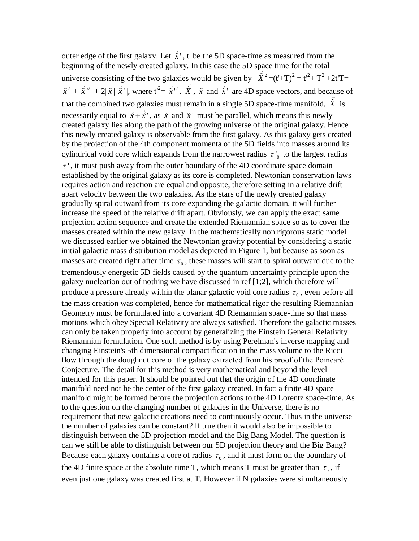outer edge of the first galaxy. Let  $\hat{x}$ ', t' be the 5D space-time as measured from the beginning of the newly created galaxy. In this case the 5D space time for the total universe consisting of the two galaxies would be given by  $\tilde{X}^2 = (t^2 + T)^2 = t^2 + T^2 + 2tT =$  $\vec{\tilde{x}}^2 + \vec{\tilde{x}}'^2 + 2|\vec{\tilde{x}}||\vec{\tilde{x}}'|$ , where  $t'^2 = \vec{\tilde{x}}'^2$ .  $\tilde{X}$ ,  $\vec{\tilde{x}}$  and  $\vec{\tilde{x}}'$  are 4D space vectors, and because of that the combined two galaxies must remain in a single 5D space-time manifold, *X* is necessarily equal to  $\vec{x} + \vec{x}'$ , as  $\vec{x}$  and  $\vec{x}'$  must be parallel, which means this newly created galaxy lies along the path of the growing universe of the original galaxy. Hence this newly created galaxy is observable from the first galaxy. As this galaxy gets created by the projection of the 4th component momenta of the 5D fields into masses around its cylindrical void core which expands from the narrowest radius  $\tau'$ <sub>0</sub> to the largest radius  $\tau'$ , it must push away from the outer boundary of the 4D coordinate space domain established by the original galaxy as its core is completed. Newtonian conservation laws requires action and reaction are equal and opposite, therefore setting in a relative drift apart velocity between the two galaxies. As the stars of the newly created galaxy gradually spiral outward from its core expanding the galactic domain, it will further increase the speed of the relative drift apart. Obviously, we can apply the exact same projection action sequence and create the extended Riemannian space so as to cover the masses created within the new galaxy. In the mathematically non rigorous static model we discussed earlier we obtained the Newtonian gravity potential by considering a static initial galactic mass distribution model as depicted in Figure 1, but because as soon as masses are created right after time  $\tau_0$ , these masses will start to spiral outward due to the tremendously energetic 5D fields caused by the quantum uncertainty principle upon the galaxy nucleation out of nothing we have discussed in ref [1;2], which therefore will produce a pressure already within the planar galactic void core radius  $\tau_0$ , even before all the mass creation was completed, hence for mathematical rigor the resulting Riemannian Geometry must be formulated into a covariant 4D Riemannian space-time so that mass motions which obey Special Relativity are always satisfied. Therefore the galactic masses can only be taken properly into account by generalizing the Einstein General Relativity Riemannian formulation. One such method is by using Perelman's inverse mapping and changing Einstein's 5th dimensional compactification in the mass volume to the Ricci flow through the doughnut core of the galaxy extracted from his proof of the Poincaré Conjecture. The detail for this method is very mathematical and beyond the level intended for this paper. It should be pointed out that the origin of the 4D coordinate manifold need not be the center of the first galaxy created. In fact a finite 4D space manifold might be formed before the projection actions to the 4D Lorentz space-time. As to the question on the changing number of galaxies in the Universe, there is no requirement that new galactic creations need to continuously occur. Thus in the universe the number of galaxies can be constant? If true then it would also be impossible to distinguish between the 5D projection model and the Big Bang Model. The question is can we still be able to distinguish between our 5D projection theory and the Big Bang? Because each galaxy contains a core of radius  $\tau_0$ , and it must form on the boundary of the 4D finite space at the absolute time T, which means T must be greater than  $\tau_0$ , if even just one galaxy was created first at T. However if N galaxies were simultaneously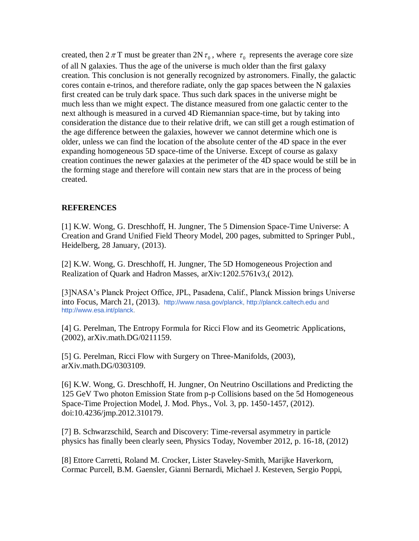created, then  $2 \pi$ T must be greater than  $2N \tau_0$ , where  $\tau_0$  represents the average core size of all N galaxies. Thus the age of the universe is much older than the first galaxy creation. This conclusion is not generally recognized by astronomers. Finally, the galactic cores contain e-trinos, and therefore radiate, only the gap spaces between the N galaxies first created can be truly dark space. Thus such dark spaces in the universe might be much less than we might expect. The distance measured from one galactic center to the next although is measured in a curved 4D Riemannian space-time, but by taking into consideration the distance due to their relative drift, we can still get a rough estimation of the age difference between the galaxies, however we cannot determine which one is older, unless we can find the location of the absolute center of the 4D space in the ever expanding homogeneous 5D space-time of the Universe. Except of course as galaxy creation continues the newer galaxies at the perimeter of the 4D space would be still be in the forming stage and therefore will contain new stars that are in the process of being created.

### **REFERENCES**

[1] K.W. Wong, G. Dreschhoff, H. Jungner, The 5 Dimension Space-Time Universe: A Creation and Grand Unified Field Theory Model, 200 pages, submitted to Springer Publ., Heidelberg, 28 January, (2013).

[2] K.W. Wong, G. Dreschhoff, H. Jungner, The 5D Homogeneous Projection and Realization of Quark and Hadron Masses, arXiv:1202.5761v3,( 2012).

[3]NASA's Planck Project Office, JPL, Pasadena, Calif., Planck Mission brings Universe into Focus, March 21, (2013). [http://www.nasa.gov/planck,](http://www.nasa.gov/planck) [http://planck.caltech.edu](http://planck.caltech.edu/) and [http://www.esa.int/planck.](http://www.esa.int/planck)

[4] G. Perelman, The Entropy Formula for Ricci Flow and its Geometric Applications, (2002), arXiv.math.DG/0211159.

[5] G. Perelman, Ricci Flow with Surgery on Three-Manifolds, (2003), arXiv.math.DG/0303109.

[6] K.W. Wong, G. Dreschhoff, H. Jungner, On Neutrino Oscillations and Predicting the 125 GeV Two photon Emission State from p-p Collisions based on the 5d Homogeneous Space-Time Projection Model, J. Mod. Phys., Vol. 3, pp. 1450-1457, (2012). doi:10.4236/jmp.2012.310179.

[7] B. Schwarzschild, Search and Discovery: Time-reversal asymmetry in particle physics has finally been clearly seen, Physics Today, November 2012, p. 16-18, (2012)

[8] Ettore Carretti, Roland M. Crocker, Lister Staveley-Smith, Marijke Haverkorn, Cormac Purcell, B.M. Gaensler, Gianni Bernardi, Michael J. Kesteven, Sergio Poppi,